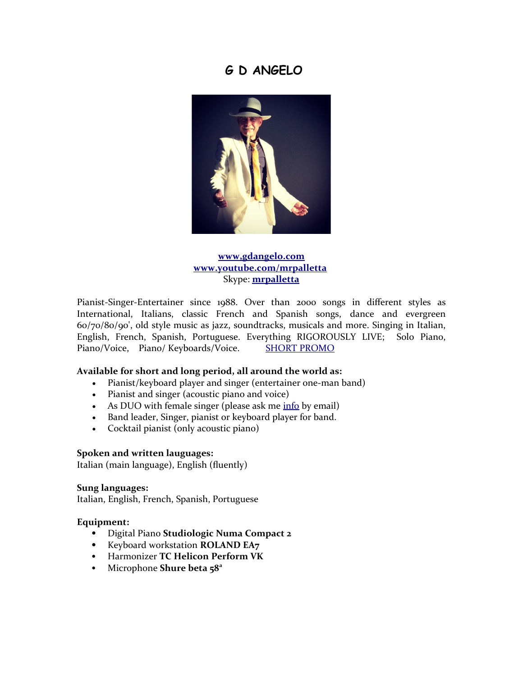# **G D ANGELO**



## **[www,gdangelo.com](https://www.gdangelo.com/) [www.youtube.com/mrpalletta](http://www.youtube.com/mrpalletta)** Skype: **[mrpalletta](callto:mrpalletta)**

Pianist-Singer-Entertainer since 1988. Over than 2000 songs in different styles as International, Italians, classic French and Spanish songs, dance and evergreen 60/70/80/90', old style music as jazz, soundtracks, musicals and more. Singing in Italian, English, French, Spanish, Portuguese. Everything RIGOROUSLY LIVE; Solo Piano, Piano/Voice, Piano/ Keyboards/Voice. [SHORT PROMO](https://www.youtube.com/watch?v=Q7DML1PMSG8)

### **Available for short and long period, all around the world as:**

- Pianist/keyboard player and singer (entertainer one-man band)
- Pianist and singer (acoustic piano and voice)
- As DUO with female singer (please ask me [info](mailto:info@gdangelo.com?subject=Info%20from%20curriculum%20for%20female%20singer) by email)
- Band leader, Singer, pianist or keyboard player for band.
- Cocktail pianist (only acoustic piano)

#### **Spoken and written lauguages:**

Italian (main language), English (fluently)

#### **Sung languages:**

Italian, English, French, Spanish, Portuguese

#### **Equipment:**

- Digital Piano **Studiologic Numa Compact 2**
- Keyboard workstation **ROLAND EA7**
- Harmonizer **TC Helicon Perform VK**
- Microphone **Shure beta 58<sup>a</sup>**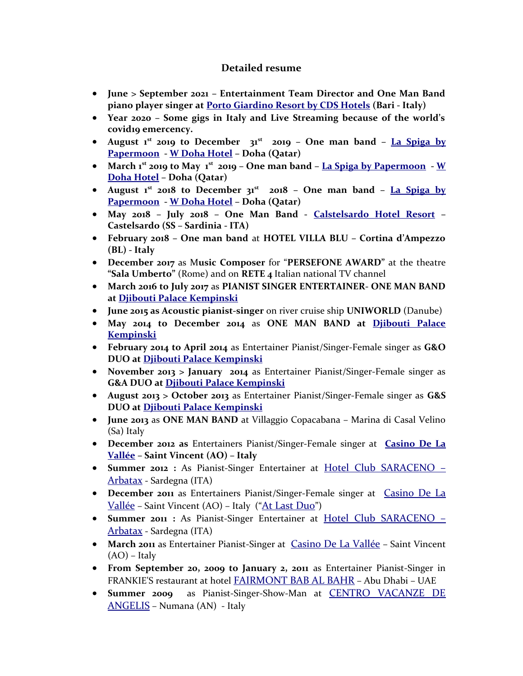## **Detailed resume**

- **June > September 2021 Entertainment Team Director and One Man Band piano player singer at [Porto Giardino Resort by CDS Hotels](https://cdshotels.it/porto-giardino/) (Bari - Italy)**
- **Year 2020 Some gigs in Italy and Live Streaming because of the world's covid19 emercency.**
- **August 1 st 2019 to December 31st 2019 One man band – [La Spiga by](https://www.laspigadoha.com/) [Papermoon](https://www.laspigadoha.com/) - [W Doha Hotel](http://www.whoteldoha.com/) – Doha (Qatar)**
- **March 1st 2019 to May 1st 2019 One man band [La Spiga by Papermoon](https://www.laspigadoha.com/) - [W](http://www.whoteldoha.com/) [Doha Hotel](http://www.whoteldoha.com/) – Doha (Qatar)**
- **August 1 st 2018 to December 31st 2018 One man band – [La Spiga by](https://www.laspigadoha.com/) [Papermoon](https://www.laspigadoha.com/) - [W Doha Hotel](http://www.whoteldoha.com/) – Doha (Qatar)**
- **May 2018 July 2018 One Man Band - [Calstelsardo Hotel Resort](http://castelsardoresort.it/) – Castelsardo (SS – Sardinia - ITA)**
- **February 2018 One man band** at **HOTEL VILLA BLU Cortina d'Ampezzo (BL) - Italy**
- **December 2017** as M**usic Composer** for "**PERSEFONE AWARD"** at the theatre **"Sala Umberto"** (Rome) and on **RETE 4** Italian national TV channel
- **March 2016 to July 2017** as **PIANIST SINGER ENTERTAINER- ONE MAN BAND at [Djibouti Palace Kempinski](http://www.kempinski.com/en/djibouti/djibouti-palace/welcome/)**
- **June 2015 as Acoustic pianist-singer** on river cruise ship **UNIWORLD** (Danube)
- **May 2014 to December 2014** as **ONE MAN BAND at [Djibouti Palace](http://www.kempinski.com/en/djibouti/djibouti-palace/welcome/) [Kempinski](http://www.kempinski.com/en/djibouti/djibouti-palace/welcome/)**
- **February 2014 to April 2014** as Entertainer Pianist/Singer-Female singer as **G&O DUO at [Djibouti Palace Kempinski](http://www.kempinski.com/en/djibouti/djibouti-palace/welcome/)**
- **November 2013 > January 2014** as Entertainer Pianist/Singer-Female singer as **G&A DUO at [Djibouti Palace Kempinski](http://www.kempinski.com/en/djibouti/djibouti-palace/welcome/)**
- **August 2013 > October 2013** as Entertainer Pianist/Singer-Female singer as **G&S DUO at [Djibouti Palace Kempinski](http://www.kempinski.com/en/djibouti/djibouti-palace/welcome/)**
- **June 2013** as **ONE MAN BAND** at Villaggio Copacabana Marina di Casal Velino (Sa) Italy
- **December 2012 as** Entertainers Pianist/Singer-Female singer at **[Casino De La](http://www.casinodelavallee.it/en/what-s-on/live-music-mister-palletta) [Vallée](http://www.casinodelavallee.it/en/what-s-on/live-music-mister-palletta) – Saint Vincent (AO) – Italy**
- **Summer 2012 :** As Pianist-Singer Entertainer at [Hotel Club SARACENO –](http://www.hotelclubsaraceno.com/index.htm) [Arbatax](http://www.hotelclubsaraceno.com/index.htm) - Sardegna (ITA)
- **December 2011** as Entertainers Pianist/Singer-Female singer at [Casino De La](http://www.casinodelavallee.it/en/what-s-on/live-music-mister-palletta) [Vallée](http://www.casinodelavallee.it/en/what-s-on/live-music-mister-palletta) – Saint Vincent (AO) – Italy ("[At Last Duo](http://www.atlastduo.com/)")
- **Summer 2011 :** As Pianist-Singer Entertainer at [Hotel Club SARACENO –](http://www.hotelclubsaraceno.com/index.htm) [Arbatax](http://www.hotelclubsaraceno.com/index.htm) - Sardegna (ITA)
- **March 2011** as Entertainer Pianist-Singer at *[Casino De La Vallée](http://www.casinodelavallee.it/en/what-s-on/live-music-mister-palletta)* Saint Vincent (AO) – Italy
- **From September 20, 2009 to January 2, 2011** as Entertainer Pianist-Singer in FRANKIE'S restaurant at hotel [FAIRMONT BAB AL BAHR](http://www.fairmont.com/babalbahr) – Abu Dhabi – UAE
- **Summer 2009** as Pianist-Singer-Show-Man at [CENTRO VACANZE DE](http://www.centro-vacanze.it/) [ANGELIS](http://www.centro-vacanze.it/) – Numana (AN) - Italy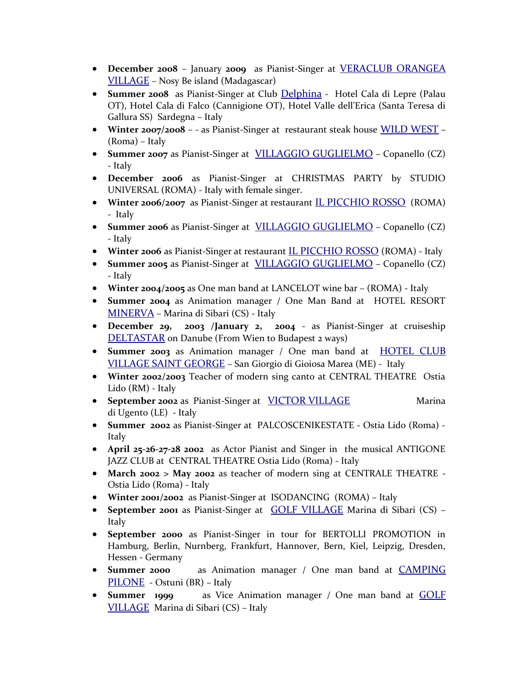- **December 2008** January **2009** as Pianist-Singer at [VERACLUB ORANGEA](http://www.veratour.it/it/la-tua-vacanza/villaggi/44_veraclub_orangea_village/) [VILLAGE](http://www.veratour.it/it/la-tua-vacanza/villaggi/44_veraclub_orangea_village/) – Nosy Be island (Madagascar)
- **Summer 2008** as Pianist-Singer at Club [Delphina](http://www.delphina.it/) Hotel Cala di Lepre (Palau OT), Hotel Cala di Falco (Cannigione OT), Hotel Valle dell'Erica (Santa Teresa di Gallura SS) Sardegna – Italy
- **Winter 2007/2008**  - as Pianist-Singer at restaurant steak house [WILD WEST](http://www.wildweststeakhouse.it/) (Roma) – Italy
- **Summer 2007** as Pianist-Singer at **[VILLAGGIO GUGLIELMO](http://www.villaggioguglielmo.it/)** Copanello (CZ) - Italy
- **December 2006** as Pianist-Singer at CHRISTMAS PARTY by STUDIO UNIVERSAL (ROMA) - Italy with female singer.
- **Winter 2006/2007** as Pianist-Singer at restaurant [IL PICCHIO ROSSO](http://www.ilpicchiorosso.it/) (ROMA) - Italy
- **Summer 2006** as Pianist-Singer at [VILLAGGIO GUGLIELMO](http://www.villaggioguglielmo.it/) Copanello (CZ) - Italy
- **Winter 2006** as Pianist-Singer at restaurant [IL PICCHIO ROSSO](http://www.ilpicchiorosso.it/) (ROMA) Italy
- **Summer 2005** as Pianist-Singer at [VILLAGGIO GUGLIELMO](http://www.villaggioguglielmo.it/) Copanello (CZ) - Italy
- **Winter 2004/2005** as One man band at LANCELOT wine bar (ROMA) Italy
- **Summer 2004** as Animation manager / One Man Band at HOTEL RESORT [MINERVA](http://www.minervaclubresort.it/) – Marina di Sibari (CS) - Italy
- **December 29, 2003 /January 2, 2004** as Pianist-Singer at cruiseship [DELTASTAR](http://www.crociereonline.net/navi/giver.htm) on Danube (From Wien to Budapest 2 ways)
- **Summer 2003** as Animation manager / One man band at **[HOTEL CLUB](http://www.hotelsaintgeorge.it/)** [VILLAGE SAINT GEORGE](http://www.hotelsaintgeorge.it/) – San Giorgio di Gioiosa Marea (ME) - Italy
- **Winter 2002/2003** Teacher of modern sing canto at CENTRAL THEATRE Ostia Lido (RM) - Italy
- **September 2002** as Pianist-Singer at [VICTOR VILLAGE](http://www.victorvillage.it/) Marina di Ugento (LE) - Italy
- **Summer 2002** as Pianist-Singer at PALCOSCENIKESTATE Ostia Lido (Roma) Italy
- **April 25-26-27-28 2002** as Actor Pianist and Singer in the musical ANTIGONE JAZZ CLUB at CENTRAL THEATRE Ostia Lido (Roma) - Italy
- **March 2002 > May 2002** as teacher of modern sing at CENTRALE THEATRE Ostia Lido (Roma) - Italy
- **Winter 2001/2002** as Pianist-Singer at ISODANCING (ROMA) Italy
- **September 2001** as Pianist-Singer at [GOLF VILLAGE](http://www.iperviaggi.it/it/scheda-Residence-Sibari-Golf-Village-1384.php) Marina di Sibari (CS) Italy
- **September 2000** as Pianist-Singer in tour for BERTOLLI PROMOTION in Hamburg, Berlin, Nurnberg, Frankfurt, Hannover, Bern, Kiel, Leipzig, Dresden, Hessen - Germany
- **Summer 2000** as Animation manager / One man band at **[CAMPING](http://www.campingpilone.it/)** [PILONE](http://www.campingpilone.it/) - Ostuni (BR) – Italy
- **Summer 1999** as Vice Animation manager / One man band at [GOLF](http://www.iperviaggi.it/it/scheda-Residence-Sibari-Golf-Village-1384.php) [VILLAGE](http://www.iperviaggi.it/it/scheda-Residence-Sibari-Golf-Village-1384.php) Marina di Sibari (CS) – Italy